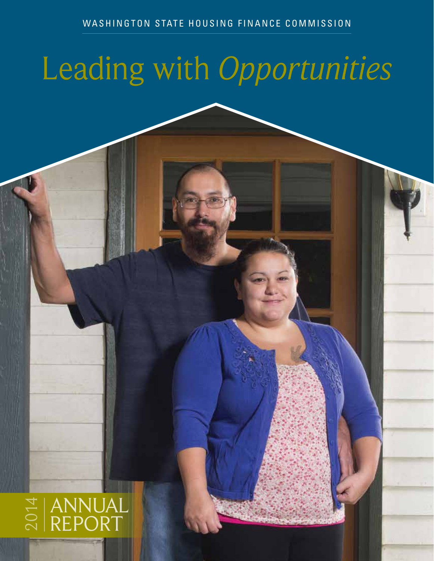# Leading with *Opportunities*

WESHING 2014 AND 2014

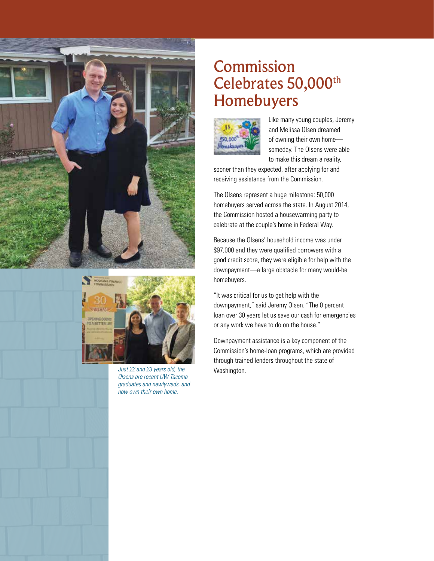



Just 22 and 23 years old, the **Washington**. *Olsens are recent UW Tacoma graduates and newlyweds, and now own their own home.* 

### Commission Celebrates 50,000<sup>th</sup> Homebuyers



Like many young couples, Jeremy and Melissa Olsen dreamed of owning their own home someday. The Olsens were able to make this dream a reality,

sooner than they expected, after applying for and receiving assistance from the Commission.

The Olsens represent a huge milestone: 50,000 homebuyers served across the state. In August 2014, the Commission hosted a housewarming party to celebrate at the couple's home in Federal Way.

Because the Olsens' household income was under \$97,000 and they were qualified borrowers with a good credit score, they were eligible for help with the downpayment—a large obstacle for many would-be homebuyers.

"It was critical for us to get help with the downpayment," said Jeremy Olsen. "The 0 percent loan over 30 years let us save our cash for emergencies or any work we have to do on the house."

Downpayment assistance is a key component of the Commission's home-loan programs, which are provided through trained lenders throughout the state of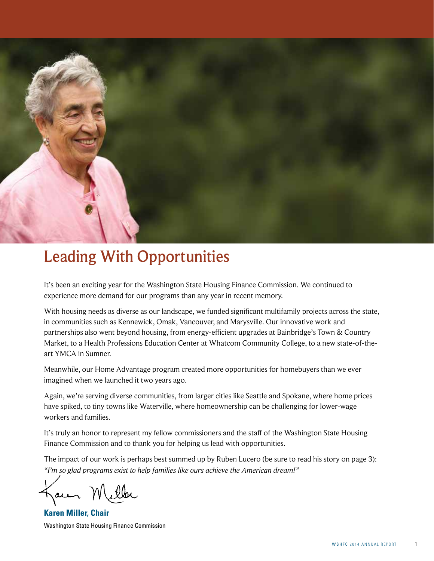

### Leading With Opportunities

It's been an exciting year for the Washington State Housing Finance Commission. We continued to experience more demand for our programs than any year in recent memory.

With housing needs as diverse as our landscape, we funded significant multifamily projects across the state, in communities such as Kennewick, Omak, Vancouver, and Marysville. Our innovative work and partnerships also went beyond housing, from energy-efficient upgrades at Bainbridge's Town & Country Market, to a Health Professions Education Center at Whatcom Community College, to a new state-of-theart YMCA in Sumner.

Meanwhile, our Home Advantage program created more opportunities for homebuyers than we ever imagined when we launched it two years ago.

Again, we're serving diverse communities, from larger cities like Seattle and Spokane, where home prices have spiked, to tiny towns like Waterville, where homeownership can be challenging for lower-wage workers and families.

It's truly an honor to represent my fellow commissioners and the staff of the Washington State Housing Finance Commission and to thank you for helping us lead with opportunities.

The impact of our work is perhaps best summed up by Ruben Lucero (be sure to read his story on page 3): *"I'm so glad programs exist to help families like ours achieve the American dream!"*

Jaun

**Karen Miller, Chair** Washington State Housing Finance Commission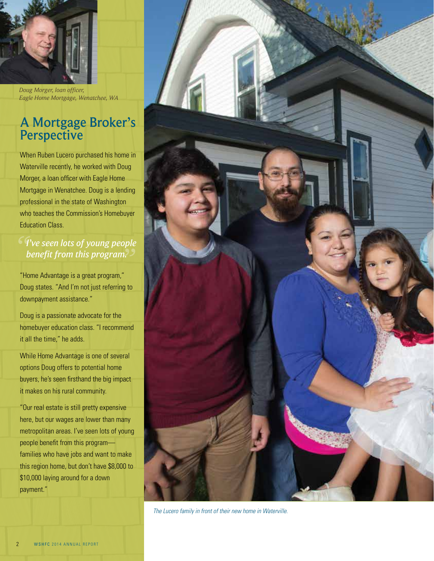

*Doug Morger, loan officer, Eagle Home Mortgage, Wenatchee, WA*

### A Mortgage Broker's **Perspective**

When Ruben Lucero purchased his home in Waterville recently, he worked with Doug Morger, a loan officer with Eagle Home Mortgage in Wenatchee. Doug is a lending professional in the state of Washington who teaches the Commission's Homebuyer Education Class.

### *" I've seen lots of young people " benefit from this program.*

"Home Advantage is a great program," Doug states. "And I'm not just referring to downpayment assistance."

Doug is a passionate advocate for the homebuyer education class. "I recommend it all the time," he adds.

While Home Advantage is one of several options Doug offers to potential home buyers, he's seen firsthand the big impact it makes on his rural community.

"Our real estate is still pretty expensive here, but our wages are lower than many metropolitan areas. I've seen lots of young people benefit from this program families who have jobs and want to make this region home, but don't have \$8,000 to \$10,000 laying around for a down payment."



*The Lucero family in front of their new home in Waterville.*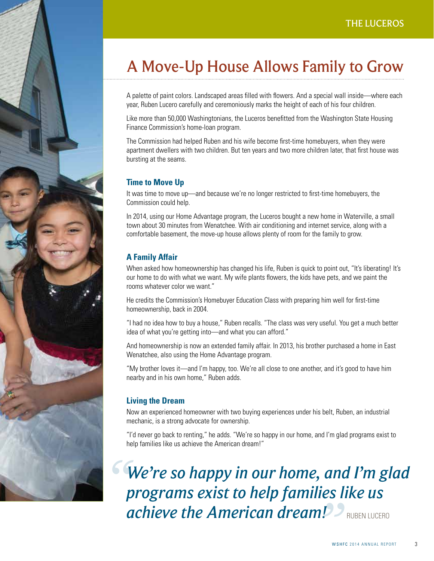### A Move-Up House Allows Family to Grow

A palette of paint colors. Landscaped areas filled with flowers. And a special wall inside—where each year, Ruben Lucero carefully and ceremoniously marks the height of each of his four children.

Like more than 50,000 Washingtonians, the Luceros benefitted from the Washington State Housing Finance Commission's home-loan program.

The Commission had helped Ruben and his wife become first-time homebuyers, when they were apartment dwellers with two children. But ten years and two more children later, that first house was bursting at the seams.

### **Time to Move Up**

It was time to move up—and because we're no longer restricted to first-time homebuyers, the Commission could help.

In 2014, using our Home Advantage program, the Luceros bought a new home in Waterville, a small town about 30 minutes from Wenatchee. With air conditioning and internet service, along with a comfortable basement, the move-up house allows plenty of room for the family to grow.

### **A Family Affair**

When asked how homeownership has changed his life, Ruben is quick to point out, "It's liberating! It's our home to do with what we want. My wife plants flowers, the kids have pets, and we paint the rooms whatever color we want."

He credits the Commission's Homebuyer Education Class with preparing him well for first-time homeownership, back in 2004.

"I had no idea how to buy a house," Ruben recalls. "The class was very useful. You get a much better idea of what you're getting into—and what you can afford."

And homeownership is now an extended family affair. In 2013, his brother purchased a home in East Wenatchee, also using the Home Advantage program.

"My brother loves it—and I'm happy, too. We're all close to one another, and it's good to have him nearby and in his own home," Ruben adds.

### **Living the Dream**

Now an experienced homeowner with two buying experiences under his belt, Ruben, an industrial mechanic, is a strong advocate for ownership.

"I'd never go back to renting," he adds. "We're so happy in our home, and I'm glad programs exist to help families like us achieve the American dream!"

*We're so happy in our home, and I'm glad programs exist to help families like us achieve the American dream! "* **P** PRUBEN LUCERO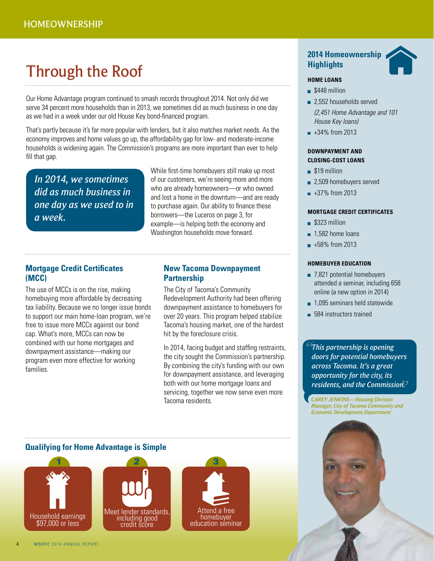### Through the Roof

Our Home Advantage program continued to smash records throughout 2014. Not only did we serve 34 percent more households than in 2013, we sometimes did as much business in one day as we had in a week under our old House Key bond-financed program.

That's partly because it's far more popular with lenders, but it also matches market needs. As the economy improves and home values go up, the affordability gap for low- and moderate-income households is widening again. The Commission's programs are more important than ever to help fill that gap.

*In 2014, we sometimes did as much business in one day as we used to in a week.*

While first-time homebuyers still make up most of our customers, we're seeing more and more who are already homeowners—or who owned and lost a home in the downturn—and are ready to purchase again. Our ability to finance these borrowers—the Luceros on page 3, for example—is helping both the economy and Washington households move forward.

### **Mortgage Credit Certificates (MCC)**

The use of MCCs is on the rise, making homebuying more affordable by decreasing tax liability. Because we no longer issue bonds to support our main home-loan program, we're free to issue more MCCs against our bond cap. What's more, MCCs can now be combined with our home mortgages and downpayment assistance—making our program even more effective for working families.

### **New Tacoma Downpayment Partnership**

The City of Tacoma's Community Redevelopment Authority had been offering downpayment assistance to homebuyers for over 20 years. This program helped stabilize Tacoma's housing market, one of the hardest hit by the foreclosure crisis.

In 2014, facing budget and staffing restraints, the city sought the Commission's partnership. By combining the city's funding with our own for downpayment assistance, and leveraging both with our home mortgage loans and servicing, together we now serve even more Tacoma residents.



#### **HOME LOANS**

- S448 million
- 2,552 households served *(2,451 Home Advantage and 101 House Key loans)*
- $+34%$  from 2013

### **DOWNPAYMENT AND CLOSING-COST LOANS**

- $$19$  million
- 2,509 homebuyers served
- $+37%$  from 2013

#### **MORTGAGE CREDIT CERTIFICATES**

- S323 million
- $\blacksquare$  1.582 home loans
- $+58%$  from 2013

#### **HOMEBUYER EDUCATION**

- 7,821 potential homebuyers attended a seminar, including 658 online (a new option in 2014)
- **1.095 seminars held statewide**
- **584** instructors trained

*" residents, and the Commission. "This partnership is opening doors for potential homebuyers across Tacoma. It's a great opportunity for the city, its* 

*CAREY JENKINS—Housing Division Manager, City of Tacoma Community and Economic Development Department*

### **Qualifying for Home Advantage is Simple**





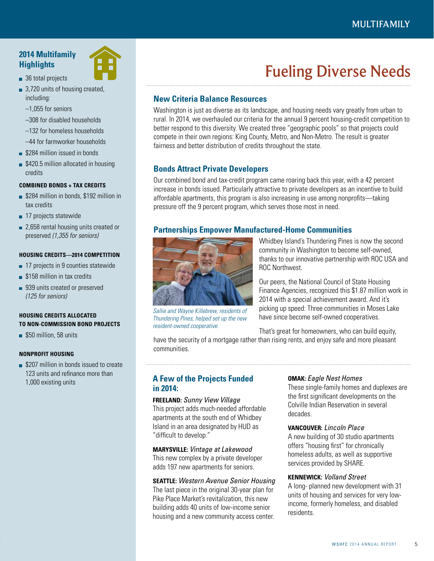### **2014 Multifamily Highlights**

- 36 total projects
- 3,720 units of housing created, including:
	- –1,055 for seniors
	- –308 for disabled households
	- –132 for homeless households
	- –44 for farmworker households
- **S284 million issued in bonds**
- **\$420.5 million allocated in housing** credits

#### **COMBINED BONDS + TAX CREDITS**

- **\$284 million in bonds, \$192 million in** tax credits
- 17 projects statewide
- 2,658 rental housing units created or preserved *(1,355 for seniors)*

#### **HOUSING CREDITS—2014 COMPETITION**

- 17 projects in 9 counties statewide
- **\$158 million in tax credits**
- 939 units created or preserved *(125 for seniors)*

### **HOUSING CREDITS ALLOCATED TO NON-COMMISSION BOND PROJECTS**

**\$50 million, 58 units** 

### **NONPROFIT HOUSING**

**\$207 million in bonds issued to create** 123 units and refinance more than 1,000 existing units

## Fueling Diverse Needs

### **New Criteria Balance Resources**

Washington is just as diverse as its landscape, and housing needs vary greatly from urban to rural. In 2014, we overhauled our criteria for the annual 9 percent housing-credit competition to better respond to this diversity. We created three "geographic pools" so that projects could compete in their own regions: King County, Metro, and Non-Metro. The result is greater fairness and better distribution of credits throughout the state.

### **Bonds Attract Private Developers**

Our combined bond and tax-credit program came roaring back this year, with a 42 percent increase in bonds issued. Particularly attractive to private developers as an incentive to build affordable apartments, this program is also increasing in use among nonprofits—taking pressure off the 9 percent program, which serves those most in need.

### **Partnerships Empower Manufactured-Home Communities**



Whidbey Island's Thundering Pines is now the second community in Washington to become self-owned, thanks to our innovative partnership with ROC USA and ROC Northwest.

Our peers, the National Council of State Housing Finance Agencies, recognized this \$1.87 million work in 2014 with a special achievement award. And it's picking up speed: Three communities in Moses Lake have since become self-owned cooperatives.

*Sallie and Wayne Killebrew, residents of Thundering Pines, helped set up the new resident-owned cooperative.*

That's great for homeowners, who can build equity, have the security of a mortgage rather than rising rents, and enjoy safe and more pleasant communities.

### **A Few of the Projects Funded in 2014:**

### **FREELAND:** *Sunny View Village* This project adds much-needed affordable apartments at the south end of Whidbey Island in an area designated by HUD as "difficult to develop."

### **MARYSVILLE:** *Vintage at Lakewood*

This new complex by a private developer adds 197 new apartments for seniors.

### **SEATTLE:** *Western Avenue Senior Housing* The last piece in the original 30-year plan for Pike Place Market's revitalization, this new

building adds 40 units of low-income senior housing and a new community access center.

### **OMAK:** *Eagle Nest Homes*

These single-family homes and duplexes are the first significant developments on the Colville Indian Reservation in several decades.

### **VANCOUVER:** *Lincoln Place*

A new building of 30 studio apartments offers "housing first" for chronically homeless adults, as well as supportive services provided by SHARE.

#### **KENNEWICK:** *Volland Street*

A long- planned new development with 31 units of housing and services for very lowincome, formerly homeless, and disabled residents.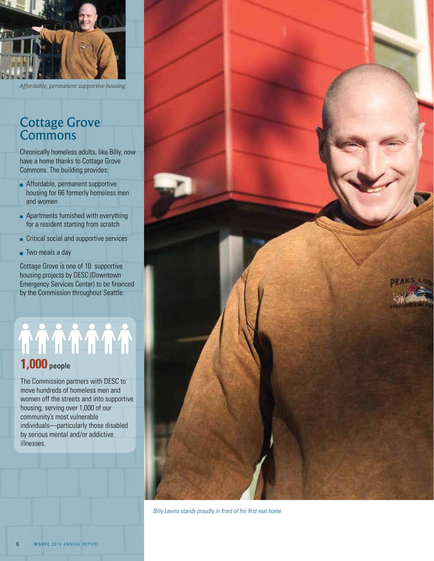

*Affordable, permanent supportive housing*

### Cottage Grove Commons

Chronically homeless adults, like Billy, now have a home thanks to Cottage Grove Commons. The building provides:

- **Affordable, permanent supportive** housing for 66 formerly homeless men and women
- **Apartments furnished with everything** for a resident starting from scratch
- Critical social and supportive services
- Two meals a day

Cottage Grove is one of 10 supportive housing projects by DESC (Downtown Emergency Services Center) to be financed by the Commission throughout Seattle.

# **1,000** people

The Commission partners with DESC to move hundreds of homeless men and women off the streets and into supportive housing, serving over 1,000 of our community's most vulnerable individuals—particularly those disabled by serious mental and/or addictive illnesses.



*Billy Levins stands proudly in front of his first real home.*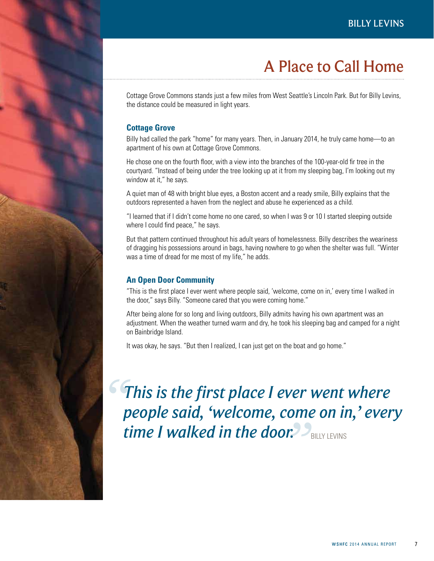### A Place to Call Home

Cottage Grove Commons stands just a few miles from West Seattle's Lincoln Park. But for Billy Levins, the distance could be measured in light years.

### **Cottage Grove**

Billy had called the park "home" for many years. Then, in January 2014, he truly came home—to an apartment of his own at Cottage Grove Commons.

He chose one on the fourth floor, with a view into the branches of the 100-year-old fir tree in the courtyard. "Instead of being under the tree looking up at it from my sleeping bag, I'm looking out my window at it," he says.

A quiet man of 48 with bright blue eyes, a Boston accent and a ready smile, Billy explains that the outdoors represented a haven from the neglect and abuse he experienced as a child.

"I learned that if I didn't come home no one cared, so when I was 9 or 10 I started sleeping outside where I could find peace," he says.

But that pattern continued throughout his adult years of homelessness. Billy describes the weariness of dragging his possessions around in bags, having nowhere to go when the shelter was full. "Winter was a time of dread for me most of my life," he adds.

### **An Open Door Community**

"This is the first place I ever went where people said, 'welcome, come on in,' every time I walked in the door," says Billy. "Someone cared that you were coming home."

After being alone for so long and living outdoors, Billy admits having his own apartment was an adjustment. When the weather turned warm and dry, he took his sleeping bag and camped for a night on Bainbridge Island.

It was okay, he says. "But then I realized, I can just get on the boat and go home."

*This is the first place I ever went where people said, 'welcome, come on in,' every time I walked in the door. "* "BILLY LEVINS"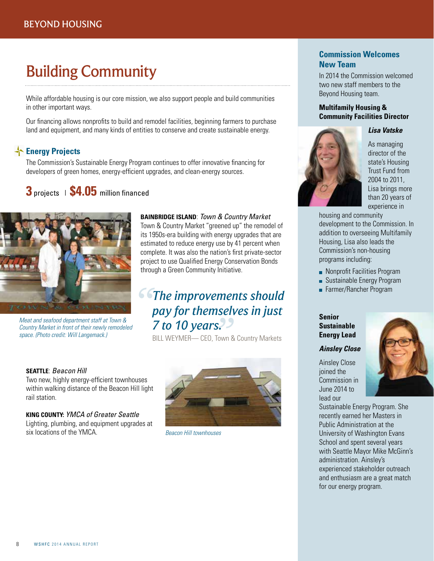### Building Community

While affordable housing is our core mission, we also support people and build communities in other important ways.

Our financing allows nonprofits to build and remodel facilities, beginning farmers to purchase land and equipment, and many kinds of entities to conserve and create sustainable energy.

### **Energy Projects**

The Commission's Sustainable Energy Program continues to offer innovative financing for developers of green homes, energy-efficient upgrades, and clean-energy sources.

### **3** projects | **\$4.05** million financed



*Meat and seafood department staff at Town & Country Market in front of their newly remodeled space. (Photo credit: Will Langemack.)*

### **BAINBRIDGE ISLAND**: *Town & Country Market*

Town & Country Market "greened up" the remodel of its 1950s-era building with energy upgrades that are estimated to reduce energy use by 41 percent when complete. It was also the nation's first private-sector project to use Qualified Energy Conservation Bonds through a Green Community Initiative.

### **The improvements should<br>
pay for themselves in just 7 to 10 years.**<br>**T to 10 years.** *pay for themselves in just*

BILL WEYMER— CEO, Town & Country Markets

### **SEATTLE**: *Beacon Hill*

Two new, highly energy-efficient townhouses within walking distance of the Beacon Hill light rail station.

**KING COUNTY:** *YMCA of Greater Seattle*  Lighting, plumbing, and equipment upgrades at six locations of the YMCA.



*Beacon Hill townhouses*

### **Commission Welcomes New Team**

In 2014 the Commission welcomed two new staff members to the Beyond Housing team.

### **Multifamily Housing & Community Facilities Director**

### *Lisa Vatske*



As managing director of the state's Housing Trust Fund from 2004 to 2011, Lisa brings more than 20 years of experience in

housing and community development to the Commission. In addition to overseeing Multifamily Housing, Lisa also leads the Commission's non-housing programs including:

- **Nonprofit Facilities Program**
- Sustainable Energy Program
- Farmer/Rancher Program

### **Senior Sustainable Energy Lead**

### *Ainsley Close*

Ainsley Close joined the Commission in June 2014 to lead our



Sustainable Energy Program. She recently earned her Masters in Public Administration at the University of Washington Evans School and spent several years with Seattle Mayor Mike McGinn's administration. Ainsley's experienced stakeholder outreach and enthusiasm are a great match for our energy program.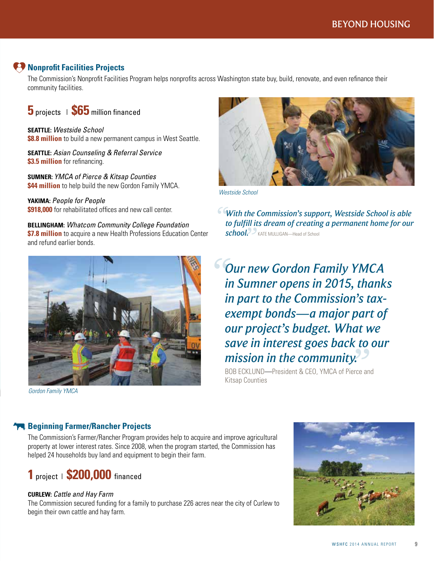### **Nonprofit Facilities Projects**

The Commission's Nonprofit Facilities Program helps nonprofits across Washington state buy, build, renovate, and even refinance their community facilities.

**5** projects | **\$65** million financed

**SEATTLE:** *Westside School*  **\$8.8 million** to build a new permanent campus in West Seattle.

**SEATTLE:** *Asian Counseling & Referral Service* **\$3.5 million** for refinancing.

**SUMNER:** *YMCA of Pierce & Kitsap Counties* **\$44 million** to help build the new Gordon Family YMCA.

**YAKIMA:** *People for People* **\$918,000** for rehabilitated offices and new call center.

**BELLINGHAM:** *Whatcom Community College Foundation* **\$7.8 million** to acquire a new Health Professions Education Center and refund earlier bonds.



*Gordon Family YMCA*



*Westside School*

*" With the Commission's support, Westside School is able*  **School.** PKATE MULLIGAN—Head of School *to fulfill its dream of creating a permanent home for our* 

*BOB ECKLUND—President & CEO, YMCA of Pierce and Our new Gordon Family YMCA in Sumner opens in 2015, thanks in part to the Commission's taxexempt bonds—a major part of our project's budget. What we save in interest goes back to our mission in the community. "*

Kitsap Counties

### **Beginning Farmer/Rancher Projects**

The Commission's Farmer/Rancher Program provides help to acquire and improve agricultural property at lower interest rates. Since 2008, when the program started, the Commission has helped 24 households buy land and equipment to begin their farm.



### **CURLEW:** *Cattle and Hay Farm*

The Commission secured funding for a family to purchase 226 acres near the city of Curlew to begin their own cattle and hay farm.

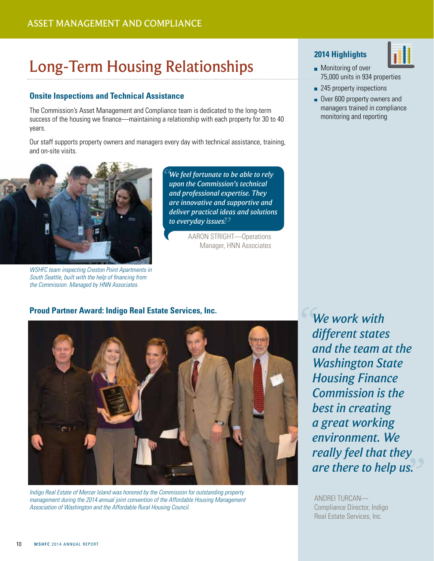### Long-Term Housing Relationships

### **Onsite Inspections and Technical Assistance**

The Commission's Asset Management and Compliance team is dedicated to the long-term success of the housing we finance—maintaining a relationship with each property for 30 to 40 years.

Our staff supports property owners and managers every day with technical assistance, training, and on-site visits.



*WSHFC team inspecting Creston Point Apartments in South Seattle, built with the help of financing from the Commission. Managed by HNN Associates.* 

*" to everyday issues."We feel fortunate to be able to rely upon the Commission's technical and professional expertise. They are innovative and supportive and deliver practical ideas and solutions* 

> AARON STRIGHT—Operations Manager, HNN Associates

### **2014 Highlights**



- 245 property inspections
- Over 600 property owners and managers trained in compliance monitoring and reporting

### **Proud Partner Award: Indigo Real Estate Services, Inc.**



*Indigo Real Estate of Mercer Island was honored by the Commission for outstanding property management during the 2014 annual joint convention of the Affordable Housing Management Association of Washington and the Affordable Rural Housing Council.* 

*s*. *We work with different states and the team at the Washington State Housing Finance Commission is the best in creating a great working environment. We really feel that they are there to help us.*

ANDREI TURCAN— Compliance Director, Indigo Real Estate Services, Inc.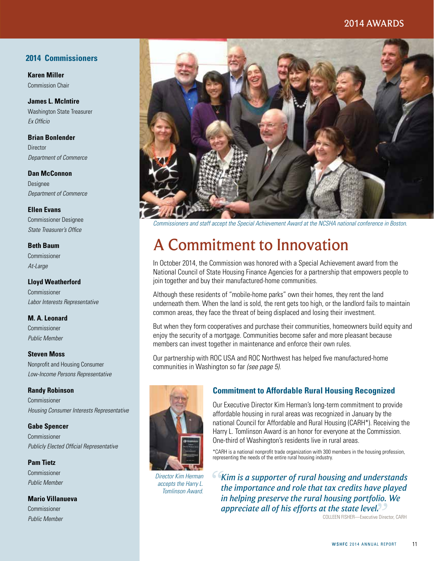### 2014 AWARDS

### **2014 Commissioners**

**Karen Miller** Commission Chair

**James L. McIntire** Washington State Treasurer *Ex Officio*

**Brian Bonlender** Director

*Department of Commerce*

**Dan McConnon** Designee *Department of Commerce*

**Ellen Evans** Commissioner Designee *State Treasurer's Office*

### **Beth Baum**

Commissioner *At-Large*

### **Lloyd Weatherford**

Commissioner *Labor Interests Representative*

### **M. A. Leonard**

Commissioner *Public Member*

**Steven Moss**

Nonprofit and Housing Consumer *Low-Income Persons Representative*

### **Randy Robinson**

Commissioner *Housing Consumer Interests Representative*

### **Gabe Spencer**

Commissioner *Publicly Elected Official Representative*

#### **Pam Tietz**

Commissioner *Public Member*

#### **Mario Villanueva**

Commissioner *Public Member*



*Commissioners and staff accept the Special Achievement Award at the NCSHA national conference in Boston.*

### A Commitment to Innovation

In October 2014, the Commission was honored with a Special Achievement award from the National Council of State Housing Finance Agencies for a partnership that empowers people to join together and buy their manufactured-home communities.

Although these residents of "mobile-home parks" own their homes, they rent the land underneath them. When the land is sold, the rent gets too high, or the landlord fails to maintain common areas, they face the threat of being displaced and losing their investment.

But when they form cooperatives and purchase their communities, homeowners build equity and enjoy the security of a mortgage. Communities become safer and more pleasant because members can invest together in maintenance and enforce their own rules.

Our partnership with ROC USA and ROC Northwest has helped five manufactured-home communities in Washington so far *(see page 5).*



*Director Kim Herman accepts the Harry L. Tomlinson Award.*

### **Commitment to Affordable Rural Housing Recognized**

Our Executive Director Kim Herman's long-term commitment to provide affordable housing in rural areas was recognized in January by the national Council for Affordable and Rural Housing (CARH\*). Receiving the Harry L. Tomlinson Award is an honor for everyone at the Commission. One-third of Washington's residents live in rural areas.

\*CARH is a national nonprofit trade organization with 300 members in the housing profession, representing the needs of the entire rural housing industry.

**The state level.**<br> **COLLEEN FISHER—Executive Director, CARH** *Kim is a supporter of rural housing and understands*<br> *the importance and role that tax credits have played the importance and role that tax credits have played in helping preserve the rural housing portfolio. We appreciate all of his efforts at the state level.*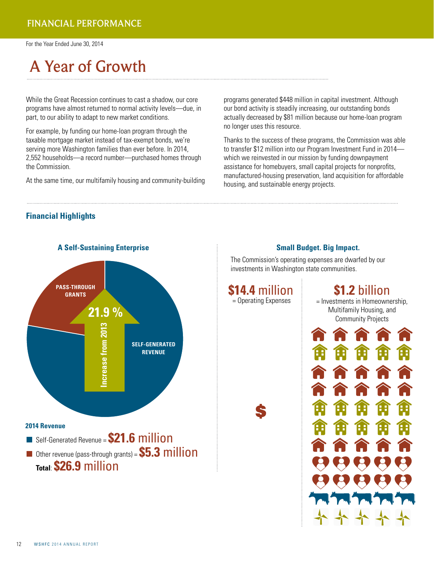For the Year Ended June 30, 2014

## A Year of Growth

While the Great Recession continues to cast a shadow, our core programs have almost returned to normal activity levels—due, in part, to our ability to adapt to new market conditions.

For example, by funding our home-loan program through the taxable mortgage market instead of tax-exempt bonds, we're serving more Washington families than ever before. In 2014, 2,552 households—a record number—purchased homes through the Commission.

At the same time, our multifamily housing and community-building

programs generated \$448 million in capital investment. Although our bond activity is steadily increasing, our outstanding bonds actually decreased by \$81 million because our home-loan program no longer uses this resource.

Thanks to the success of these programs, the Commission was able to transfer \$12 million into our Program Investment Fund in 2014 which we reinvested in our mission by funding downpayment assistance for homebuyers, small capital projects for nonprofits, manufactured-housing preservation, land acquisition for affordable housing, and sustainable energy projects.

### **Financial Highlights**



### **Small Budget. Big Impact.**

The Commission's operating expenses are dwarfed by our investments in Washington state communities.

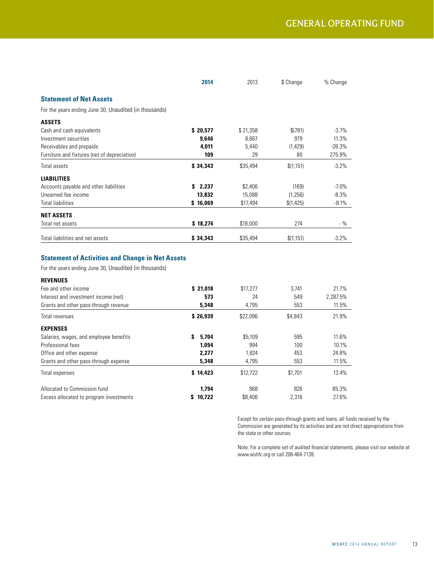|                                                        | 2014     | 2013     | \$ Change  | % Change |
|--------------------------------------------------------|----------|----------|------------|----------|
| <b>Statement of Net Assets</b>                         |          |          |            |          |
| For the years ending June 30, Unaudited (in thousands) |          |          |            |          |
| <b>ASSETS</b>                                          |          |          |            |          |
| Cash and cash equivalents                              | \$20,577 | \$21,358 | \$(781)    | $-3.7%$  |
| Investment securities                                  | 9,646    | 8,667    | 979        | 11.3%    |
| Receivables and prepaids                               | 4,011    | 5,440    | (1,429)    | $-26.3%$ |
| Furniture and fixtures (net of depreciation)           | 109      | 29       | 80         | 275.9%   |
| Total assets                                           | \$34,343 | \$35,494 | \$(1,151)  | $-3.2%$  |
| <b>LIABILITIES</b>                                     |          |          |            |          |
| Accounts payable and other liabilities                 | \$2,237  | \$2,406  | (169)      | $-7.0\%$ |
| Unearned fee income                                    | 13,832   | 15,088   | (1, 256)   | $-8.3%$  |
| <b>Total liabilities</b>                               | \$16,069 | \$17,494 | \$(1, 425) | $-8.1%$  |
| <b>NET ASSETS</b>                                      |          |          |            |          |
| Total net assets                                       | \$18,274 | \$18,000 | 274        | - %      |
| Total liabilities and net assets                       | \$34,343 | \$35,494 | \$(1,151)  | $-3.2%$  |

### **Statement of Activities and Change in Net Assets**

For the years ending June 30, Unaudited (in thousands)

| <b>REVENUES</b>                         |             |          |         |          |
|-----------------------------------------|-------------|----------|---------|----------|
| Fee and other income                    | \$21.018    | \$17,277 | 3.741   | 21.7%    |
| Interest and investment income (net)    | 573         | 24       | 549     | 2.287.5% |
| Grants and other pass-through revenue   | 5,348       | 4,795    | 553     | 11.5%    |
| Total revenues                          | \$26,939    | \$22,096 | \$4,843 | 21.9%    |
| <b>EXPENSES</b>                         |             |          |         |          |
| Salaries, wages, and employee benefits  | s.<br>5.704 | \$5,109  | 595     | 11.6%    |
| Professional fees                       | 1,094       | 994      | 100     | 10.1%    |
| Office and other expense                | 2.277       | 1,824    | 453     | 24.8%    |
| Grants and other pass-through expense   | 5,348       | 4,795    | 553     | 11.5%    |
| Total expenses                          | \$14,423    | \$12.722 | \$1.701 | 13.4%    |
| Allocated to Commission fund            | 1.794       | 968      | 826     | 85.3%    |
| Excess allocated to program investments | 10.722      | \$8,406  | 2.316   | 27.6%    |

Except for certain pass-through grants and loans, all funds received by the Commission are generated by its activities and are not direct appropriations from the state or other sources.

Note: For a complete set of audited financial statements, please visit our website at www.wshfc.org or call 206-464-7139.